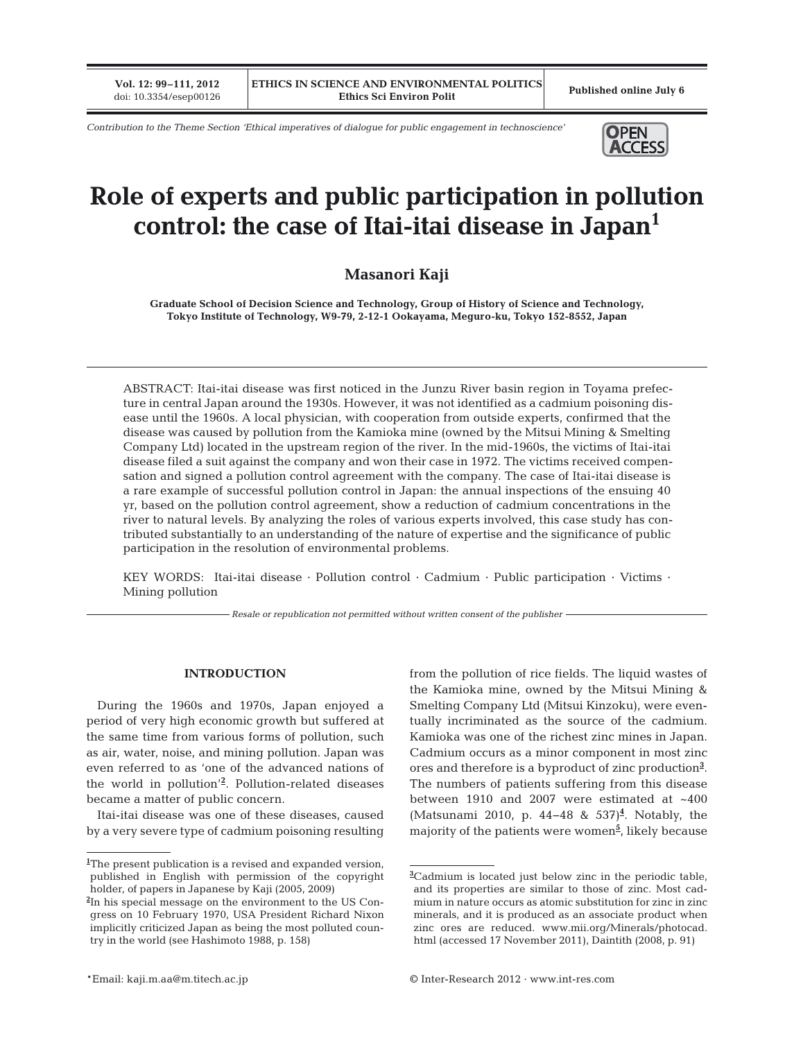**Vol. 12: 99–111, 2012**

*Contribution to the Theme Section 'Ethical imperatives of dialogue for public engagement in technoscience'*



# **Role of experts and public participation in pollution control: the case of Itai-itai disease in Japan1**

## **Masanori Kaji**

**Graduate School of Decision Science and Technology, Group of History of Science and Technology, Tokyo Institute of Technology, W9-79, 2-12-1 Ookayama, Meguro-ku, Tokyo 152-8552, Japan**

ABSTRACT: Itai-itai disease was first noticed in the Junzu River basin region in Toyama prefecture in central Japan around the 1930s. However, it was not identified as a cadmium poisoning disease until the 1960s. A local physician, with cooperation from outside experts, confirmed that the disease was caused by pollution from the Kamioka mine (owned by the Mitsui Mining & Smelting Company Ltd) located in the upstream region of the river. In the mid-1960s, the victims of Itai-itai disease filed a suit against the company and won their case in 1972. The victims received compensation and signed a pollution control agreement with the company. The case of Itai-itai disease is a rare example of successful pollution control in Japan: the annual inspections of the ensuing 40 yr, based on the pollution control agreement, show a reduction of cadmium concentrations in the river to natural levels. By analyzing the roles of various experts involved, this case study has contributed substantially to an understanding of the nature of expertise and the significance of public participation in the resolution of environmental problems.

KEY WORDS: Itai-itai disease · Pollution control · Cadmium · Public participation · Victims · Mining pollution

*Resale or republication not permitted without written consent of the publisher*

#### **INTRODUCTION**

During the 1960s and 1970s, Japan enjoyed a period of very high economic growth but suffered at the same time from various forms of pollution, such as air, water, noise, and mining pollution. Japan was even referred to as 'one of the advanced nations of the world in pollution'**<sup>2</sup>** . Pollution-related diseases became a matter of public concern.

Itai-itai disease was one of these diseases, caused by a very severe type of cadmium poisoning resulting from the pollution of rice fields. The liquid wastes of the Kamioka mine, owned by the Mitsui Mining & Smelting Company Ltd (Mitsui Kinzoku), were eventually incriminated as the source of the cadmium. Kamioka was one of the richest zinc mines in Japan. Cadmium occurs as a minor component in most zinc ores and therefore is a byproduct of zinc production**<sup>3</sup>** . The numbers of patients suffering from this disease between 1910 and 2007 were estimated at  $~1400$ (Matsunami 2010, p. 44–48 & 537)<sup>4</sup>. Notably, the majority of the patients were women**<sup>5</sup>** , likely because

**<sup>1</sup>** The present publication is a revised and expanded version, published in English with permission of the copyright holder, of papers in Japanese by Kaji (2005, 2009)

**<sup>2</sup>** In his special message on the environment to the US Congress on 10 February 1970, USA President Richard Nixon implicitly criticized Japan as being the most polluted country in the world (see Hashimoto 1988, p. 158)

**<sup>3</sup>** Cadmium is located just below zinc in the periodic table, and its properties are similar to those of zinc. Most cadmium in nature occurs as atomic substitution for zinc in zinc minerals, and it is produced as an associate product when zinc ores are reduced. www.mii.org/Minerals/photocad. html (accessed 17 November 2011), Daintith (2008, p. 91)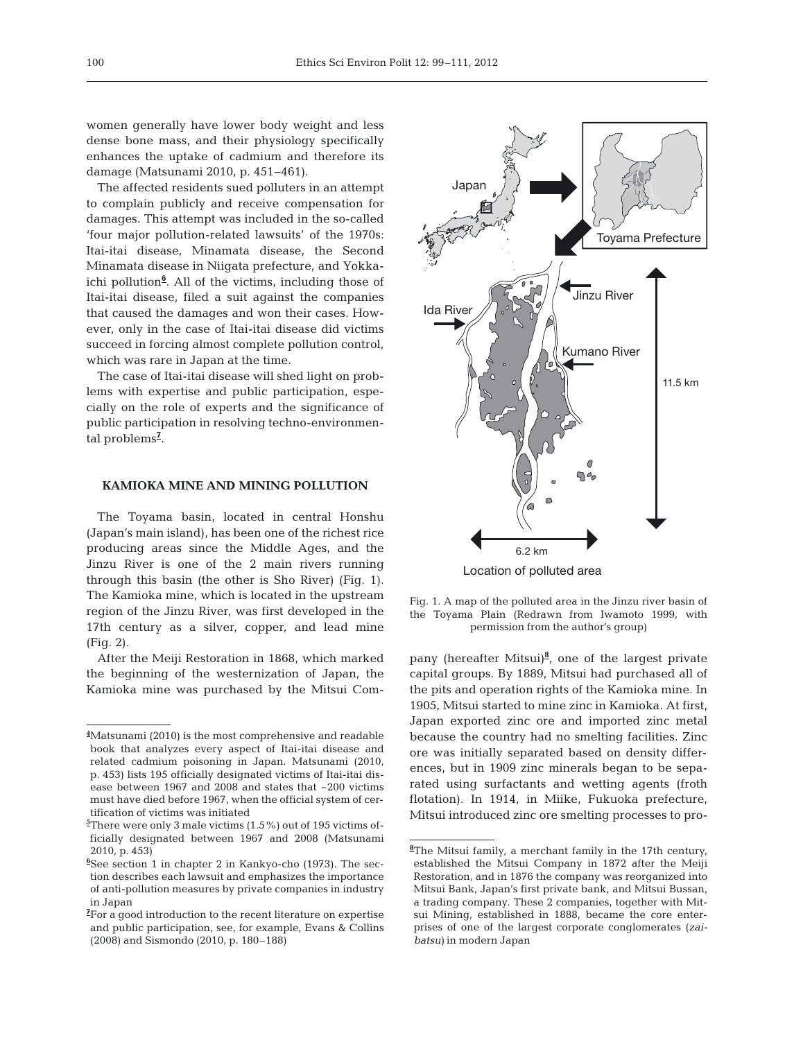women generally have lower body weight and less dense bone mass, and their physiology specifically en hances the uptake of cadmium and therefore its damage (Matsunami 2010, p. 451−461).

The affected residents sued polluters in an attempt to complain publicly and receive compensation for damages. This attempt was included in the so-called 'four major pollution-related lawsuits' of the 1970s: Itai-itai disease, Minamata disease, the Second Minamata disease in Niigata prefecture, and Yokkaichi pollution**<sup>6</sup>** . All of the victims, including those of Itai-itai disease, filed a suit against the companies that caused the damages and won their cases. However, only in the case of Itai-itai disease did victims succeed in forcing almost complete pollution control, which was rare in Japan at the time.

The case of Itai-itai disease will shed light on problems with expertise and public participation, especially on the role of experts and the significance of public participation in resolving techno-environmental problems**<sup>7</sup>** .

#### **KAMIOKA MINE AND MINING POLLUTION**

The Toyama basin, located in central Honshu (Japan's main island), has been one of the richest rice producing areas since the Middle Ages, and the Jinzu River is one of the 2 main rivers running through this basin (the other is Sho River) (Fig. 1). The Kamioka mine, which is located in the upstream region of the Jinzu River, was first developed in the 17th century as a silver, copper, and lead mine (Fig. 2).

After the Meiji Restoration in 1868, which marked the beginning of the westernization of Japan, the Kamioka mine was purchased by the Mitsui Com-



Location of polluted area

Fig. 1. A map of the polluted area in the Jinzu river basin of the Toyama Plain (Redrawn from Iwamoto 1999, with permission from the author's group)

pany (hereafter Mitsui)**<sup>8</sup>** , one of the largest private capital groups. By 1889, Mitsui had purchased all of the pits and operation rights of the Kamioka mine. In 1905, Mitsui started to mine zinc in Kamioka. At first, Japan ex ported zinc ore and imported zinc metal because the country had no smelting facilities. Zinc ore was initially separated based on density differences, but in 1909 zinc minerals began to be separated using surfactants and wetting agents (froth flotation). In 1914, in Miike, Fukuoka prefecture, Mitsui introduced zinc ore smelting processes to pro-

**<sup>4</sup>** Matsunami (2010) is the most comprehensive and readable book that analyzes every aspect of Itai-itai disease and related cadmium poisoning in Japan. Matsunami (2010, p. 453) lists 195 officially designated victims of Itai-itai disease between 1967 and 2008 and states that ~200 victims must have died before 1967, when the official system of certification of victims was initiated

**<sup>5</sup>** There were only 3 male victims (1.5%) out of 195 victims officially designated between 1967 and 2008 (Matsunami 2010, p. 453)

**<sup>6</sup>** See section 1 in chapter 2 in Kankyo-cho (1973). The section describes each lawsuit and emphasizes the importance of anti-pollution measures by private companies in industry in Japan

**<sup>7</sup>** For a good introduction to the recent literature on expertise and public participation, see, for example, Evans & Collins (2008) and Sismondo (2010, p. 180–188)

**<sup>8</sup>** The Mitsui family, a merchant family in the 17th century, established the Mitsui Company in 1872 after the Meiji Restoration, and in 1876 the company was reorganized into Mitsui Bank, Japan's first private bank, and Mitsui Bussan, a trading company. These 2 companies, together with Mitsui Mining, established in 1888, became the core enterprises of one of the largest corporate conglomerates (*zai batsu)* in modern Japan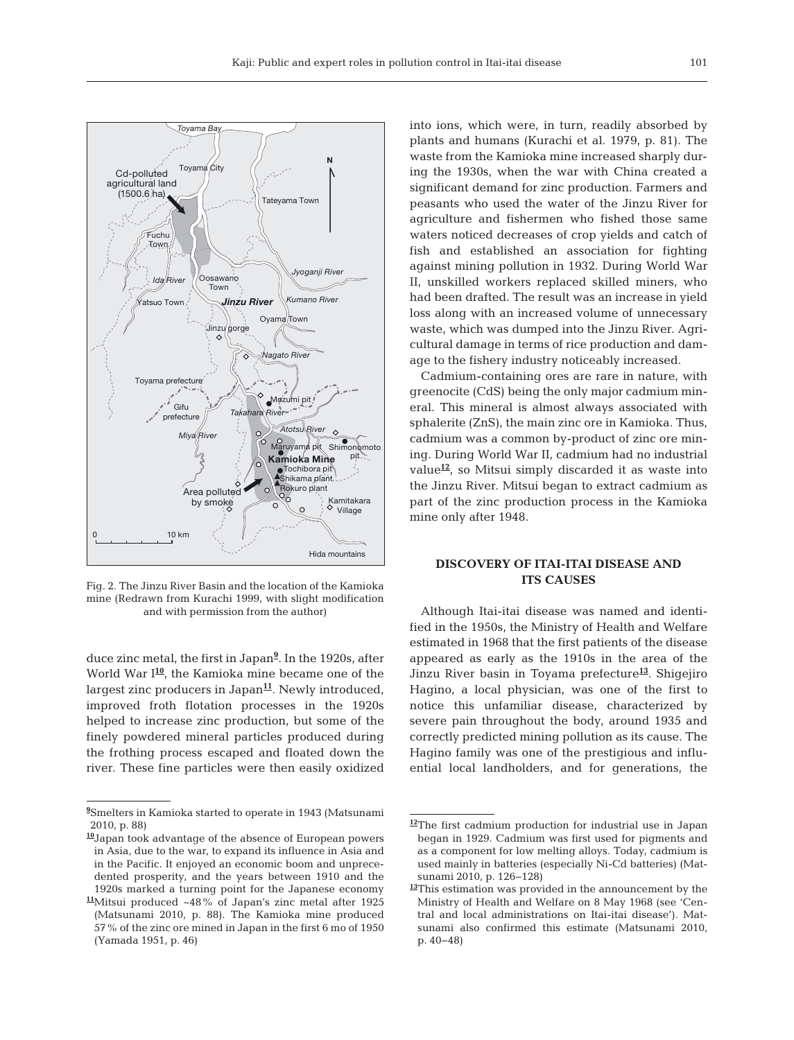

Fig. 2. The Jinzu River Basin and the location of the Kamioka mine (Redrawn from Kurachi 1999, with slight modification and with permission from the author)

duce zinc metal, the first in Japan**<sup>9</sup>** . In the 1920s, after World War I**<sup>10</sup>**, the Kamioka mine became one of the largest zinc producers in Japan<sup>11</sup>. Newly introduced, im proved froth flotation processes in the 1920s helped to increase zinc production, but some of the finely powdered mineral particles produced during the frothing process escaped and floated down the river. These fine particles were then easily oxidized into ions, which were, in turn, readily absorbed by plants and humans (Kurachi et al. 1979, p. 81). The waste from the Kamioka mine increased sharply during the 1930s, when the war with China created a significant demand for zinc production. Farmers and peasants who used the water of the Jinzu River for agriculture and fishermen who fished those same waters noticed decreases of crop yields and catch of fish and established an association for fighting against mining pollution in 1932. During World War II, unskilled workers replaced skilled miners, who had been drafted. The result was an increase in yield loss along with an increased volume of unnecessary waste, which was dumped into the Jinzu River. Agricultural damage in terms of rice production and damage to the fishery industry noticeably increased.

Cadmium-containing ores are rare in nature, with greenocite (CdS) being the only major cadmium mineral. This mineral is almost always associated with sphalerite (ZnS), the main zinc ore in Kamioka. Thus, cadmium was a common by-product of zinc ore mining. During World War II, cadmium had no industrial value<sup>12</sup>, so Mitsui simply discarded it as waste into the Jinzu River. Mitsui began to extract cadmium as part of the zinc production process in the Kamioka mine only after 1948.

#### **DISCOVERY OF ITAI-ITAI DISEASE AND ITS CAUSES**

Although Itai-itai disease was named and identified in the 1950s, the Ministry of Health and Welfare estimated in 1968 that the first patients of the disease appeared as early as the 1910s in the area of the Jinzu River basin in Toyama prefecture**<sup>13</sup>**. Shigejiro Hagino, a local physician, was one of the first to notice this unfamiliar disease, characterized by severe pain throughout the body, around 1935 and correctly predicted mining pollution as its cause. The Hagino family was one of the prestigious and influential local landholders, and for generations, the

**<sup>9</sup>** Smelters in Kamioka started to operate in 1943 (Matsunami 2010, p. 88)

**<sup>10</sup>**Japan took advantage of the absence of European powers in Asia, due to the war, to expand its influence in Asia and in the Pacific. It enjoyed an economic boom and unprecedented prosperity, and the years between 1910 and the 1920s marked a turning point for the Japanese economy

**<sup>11</sup>**Mitsui produced ~48% of Japan's zinc metal after 1925 (Matsunami 2010, p. 88). The Kamioka mine produced 57% of the zinc ore mined in Japan in the first 6 mo of 1950 (Yamada 1951, p. 46)

**<sup>12</sup>**The first cadmium production for industrial use in Japan began in 1929. Cadmium was first used for pigments and as a component for low melting alloys. Today, cadmium is used mainly in batteries (especially Ni-Cd batteries) (Matsunami 2010, p. 126−128)

**<sup>13</sup>**This estimation was provided in the announcement by the Ministry of Health and Welfare on 8 May 1968 (see 'Central and local administrations on Itai-itai disease'). Matsunami also confirmed this estimate (Matsunami 2010, p. 40−48)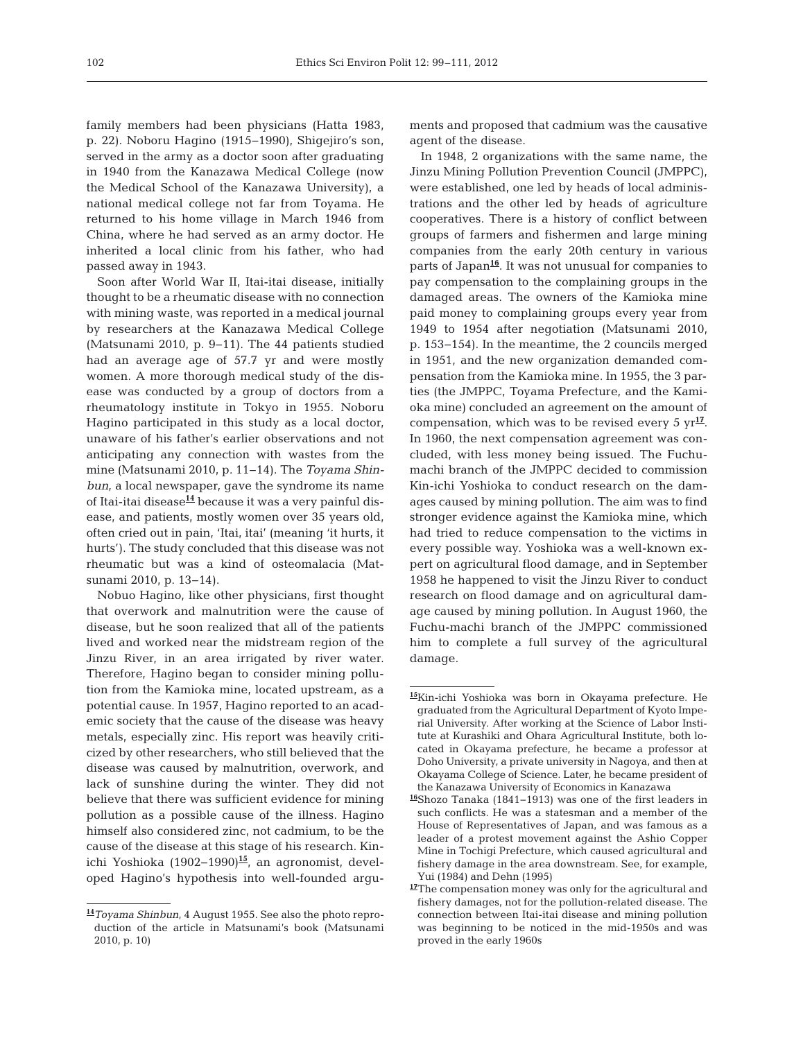family members had been physicians (Hatta 1983, p. 22). Noboru Hagino (1915−1990), Shigejiro's son, served in the army as a doctor soon after graduating in 1940 from the Kanazawa Medical College (now the Medical School of the Kanazawa University), a national medical college not far from Toyama. He returned to his home village in March 1946 from China, where he had served as an army doctor. He inherited a local clinic from his father, who had passed away in 1943.

Soon after World War II, Itai-itai disease, initially thought to be a rheumatic disease with no connection with mining waste, was reported in a medical journal by researchers at the Kanazawa Medical College (Matsunami 2010, p. 9−11). The 44 patients studied had an average age of 57.7 yr and were mostly women. A more thorough medical study of the disease was conducted by a group of doctors from a rheumatology institute in Tokyo in 1955. Noboru Hagino participated in this study as a local doctor, unaware of his father's earlier observations and not anticipating any connection with wastes from the mine (Matsunami 2010, p. 11−14). The *Toyama Shinbun*, a local newspaper, gave the syndrome its name of Itai-itai disease**<sup>14</sup>** because it was a very painful disease, and patients, mostly women over 35 years old, often cried out in pain, 'Itai, itai' (meaning 'it hurts, it hurts'). The study concluded that this disease was not rheumatic but was a kind of osteomalacia (Matsunami 2010, p. 13–14).

Nobuo Hagino, like other physicians, first thought that overwork and malnutrition were the cause of disease, but he soon realized that all of the patients lived and worked near the midstream region of the Jinzu River, in an area irrigated by river water. Therefore, Hagino began to consider mining pollution from the Kamioka mine, located upstream, as a potential cause. In 1957, Hagino reported to an academic society that the cause of the disease was heavy metals, especially zinc. His report was heavily criticized by other researchers, who still believed that the disease was caused by malnutrition, overwork, and lack of sunshine during the winter. They did not believe that there was sufficient evidence for mining pollution as a possible cause of the illness. Hagino himself also considered zinc, not cadmium, to be the cause of the disease at this stage of his research. Kinichi Yoshioka (1902−1990)**<sup>15</sup>**, an agronomist, developed Hagino's hypothesis into well-founded arguments and proposed that cadmium was the causative agent of the disease.

In 1948, 2 organizations with the same name, the Jinzu Mining Pollution Prevention Council (JMPPC), were established, one led by heads of local administrations and the other led by heads of agriculture cooperatives. There is a history of conflict between groups of farmers and fishermen and large mining companies from the early 20th century in various parts of Japan**<sup>16</sup>**. It was not unusual for companies to pay compensation to the complaining groups in the damaged areas. The owners of the Kamioka mine paid money to complaining groups every year from 1949 to 1954 after negotiation (Matsunami 2010, p. 153−154). In the meantime, the 2 councils merged in 1951, and the new organization demanded compensation from the Kamioka mine. In 1955, the 3 parties (the JMPPC, Toyama Prefecture, and the Kamioka mine) concluded an agreement on the amount of compensation, which was to be revised every 5  $\gamma r^{17}$ . In 1960, the next compensation agreement was concluded, with less money being issued. The Fuchumachi branch of the JMPPC decided to commission Kin-ichi Yoshioka to conduct research on the damages caused by mining pollution. The aim was to find stronger evidence against the Kamioka mine, which had tried to reduce compensation to the victims in every possible way. Yoshioka was a well-known expert on agricultural flood damage, and in September 1958 he happened to visit the Jinzu River to conduct research on flood damage and on agricultural damage caused by mining pollution. In August 1960, the Fuchu-machi branch of the JMPPC commissioned him to complete a full survey of the agricultural damage.

**<sup>14</sup>***Toyama Shinbun*, 4 August 1955. See also the photo reproduction of the article in Matsunami's book (Matsunami 2010, p. 10)

**<sup>15</sup>**Kin-ichi Yoshioka was born in Okayama prefecture. He graduated from the Agricultural Department of Kyoto Imperial University. After working at the Science of Labor Institute at Kurashiki and Ohara Agricultural Institute, both located in Okayama prefecture, he became a professor at Doho University, a private university in Nagoya, and then at Okayama College of Science. Later, he became president of the Kanazawa University of Economics in Kanazawa

**<sup>16</sup>**Shozo Tanaka (1841−1913) was one of the first leaders in such conflicts. He was a statesman and a member of the House of Representatives of Japan, and was famous as a leader of a protest movement against the Ashio Copper Mine in Tochigi Prefecture, which caused agricultural and fishery damage in the area downstream. See, for example, Yui (1984) and Dehn (1995)

**<sup>17</sup>**The compensation money was only for the agricultural and fishery damages, not for the pollution-related disease. The connection between Itai-itai disease and mining pollution was beginning to be noticed in the mid-1950s and was proved in the early 1960s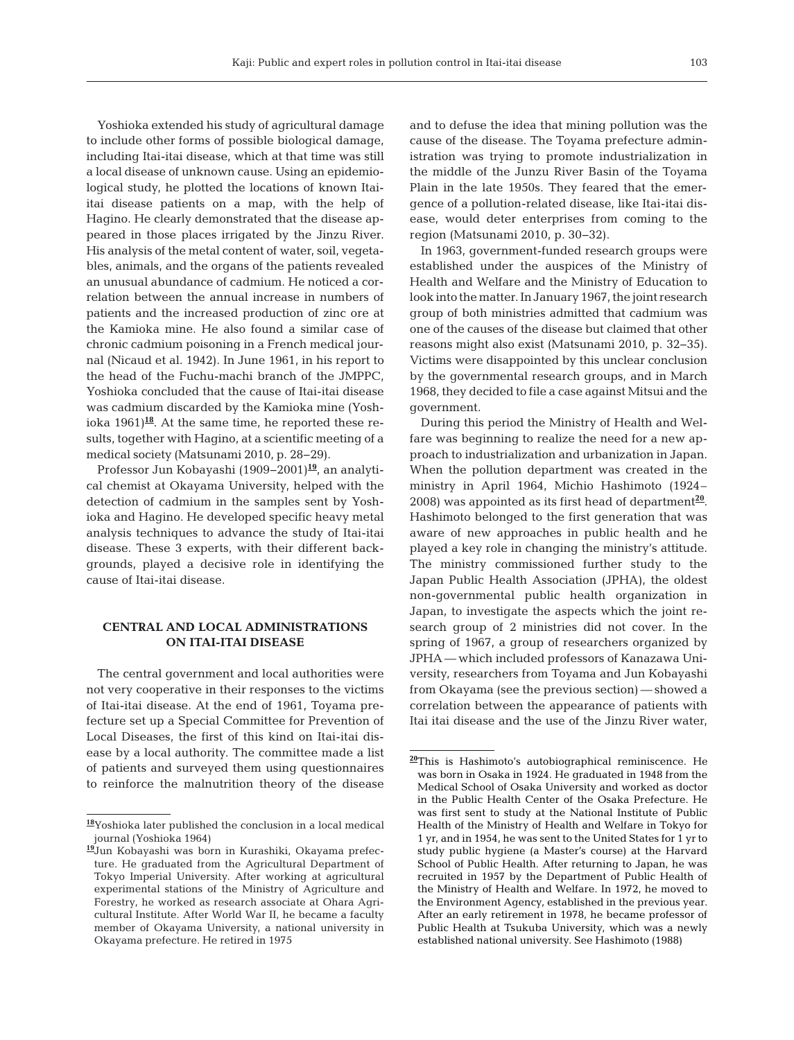Yoshioka extended his study of agricultural damage to include other forms of possible biological damage, including Itai-itai disease, which at that time was still a local disease of unknown cause. Using an epidemiological study, he plotted the locations of known Itaiitai disease patients on a map, with the help of Hagino. He clearly demonstrated that the disease appeared in those places irrigated by the Jinzu River. His analysis of the metal content of water, soil, vegetables, animals, and the organs of the patients revealed an unusual abundance of cadmium. He noticed a correlation between the annual increase in numbers of patients and the increased production of zinc ore at the Kamioka mine. He also found a similar case of chronic cadmium poisoning in a French medical journal (Nicaud et al. 1942). In June 1961, in his report to the head of the Fuchu-machi branch of the JMPPC, Yoshioka concluded that the cause of Itai-itai disease was cadmium discarded by the Kamioka mine (Yoshioka  $1961$ <sup>18</sup>. At the same time, he reported these results, together with Hagino, at a scientific meeting of a medical society (Matsunami 2010, p. 28−29).

Professor Jun Kobayashi (1909−2001)**<sup>19</sup>**, an analytical chemist at Okayama University, helped with the detection of cadmium in the samples sent by Yoshioka and Hagino. He developed specific heavy metal analysis techniques to advance the study of Itai-itai disease. These 3 experts, with their different backgrounds, played a decisive role in identifying the cause of Itai-itai disease.

## **CENTRAL AND LOCAL ADMINISTRATIONS ON ITAI-ITAI DISEASE**

The central government and local authorities were not very cooperative in their responses to the victims of Itai-itai disease. At the end of 1961, Toyama prefecture set up a Special Committee for Prevention of Local Diseases, the first of this kind on Itai-itai disease by a local authority. The committee made a list of patients and surveyed them using questionnaires to reinforce the malnutrition theory of the disease and to defuse the idea that mining pollution was the cause of the disease. The Toyama prefecture administration was trying to promote industrialization in the middle of the Junzu River Basin of the Toyama Plain in the late 1950s. They feared that the emergence of a pollution-related disease, like Itai-itai disease, would deter enterprises from coming to the region (Matsunami 2010, p. 30−32).

In 1963, government-funded research groups were established under the auspices of the Ministry of Health and Welfare and the Ministry of Education to look into the matter. In January 1967, the joint research group of both ministries admitted that cadmium was one of the causes of the disease but claimed that other reasons might also exist (Matsunami 2010, p. 32–35). Victims were disappointed by this unclear conclusion by the governmental research groups, and in March 1968, they decided to file a case against Mitsui and the government.

During this period the Ministry of Health and Welfare was beginning to realize the need for a new approach to industrialization and urbanization in Japan. When the pollution department was created in the ministry in April 1964, Michio Hashimoto (1924– 2008) was appointed as its first head of department**<sup>20</sup>**. Hashimoto belonged to the first generation that was aware of new approaches in public health and he played a key role in changing the ministry's attitude. The ministry commissioned further study to the Japan Public Health Association (JPHA), the oldest non-governmental public health organization in Japan, to investigate the aspects which the joint research group of 2 ministries did not cover. In the spring of 1967, a group of researchers organized by JPHA — which included professors of Kanazawa University, researchers from Toyama and Jun Kobayashi from Okayama (see the previous section) — showed a correlation between the appearance of patients with Itai itai disease and the use of the Jinzu River water,

**<sup>18</sup>**Yoshioka later published the conclusion in a local medical journal (Yoshioka 1964)

**<sup>19</sup>**Jun Kobayashi was born in Kurashiki, Okayama prefecture. He graduated from the Agricultural Department of Tokyo Imperial University. After working at agricultural experimental stations of the Ministry of Agriculture and Forestry, he worked as research associate at Ohara Agricultural Institute. After World War II, he became a faculty member of Okayama University, a national university in Okayama prefecture. He retired in 1975

**<sup>20</sup>**This is Hashimoto's autobiographical reminiscence. He was born in Osaka in 1924. He graduated in 1948 from the Medical School of Osaka University and worked as doctor in the Public Health Center of the Osaka Prefecture. He was first sent to study at the National Institute of Public Health of the Ministry of Health and Welfare in Tokyo for 1 yr, and in 1954, he was sent to the United States for 1 yr to study public hygiene (a Master's course) at the Harvard School of Public Health. After returning to Japan, he was recruited in 1957 by the Department of Public Health of the Ministry of Health and Welfare. In 1972, he moved to the Environment Agency, established in the previous year. After an early retirement in 1978, he became professor of Public Health at Tsukuba University, which was a newly established national university. See Hashimoto (1988)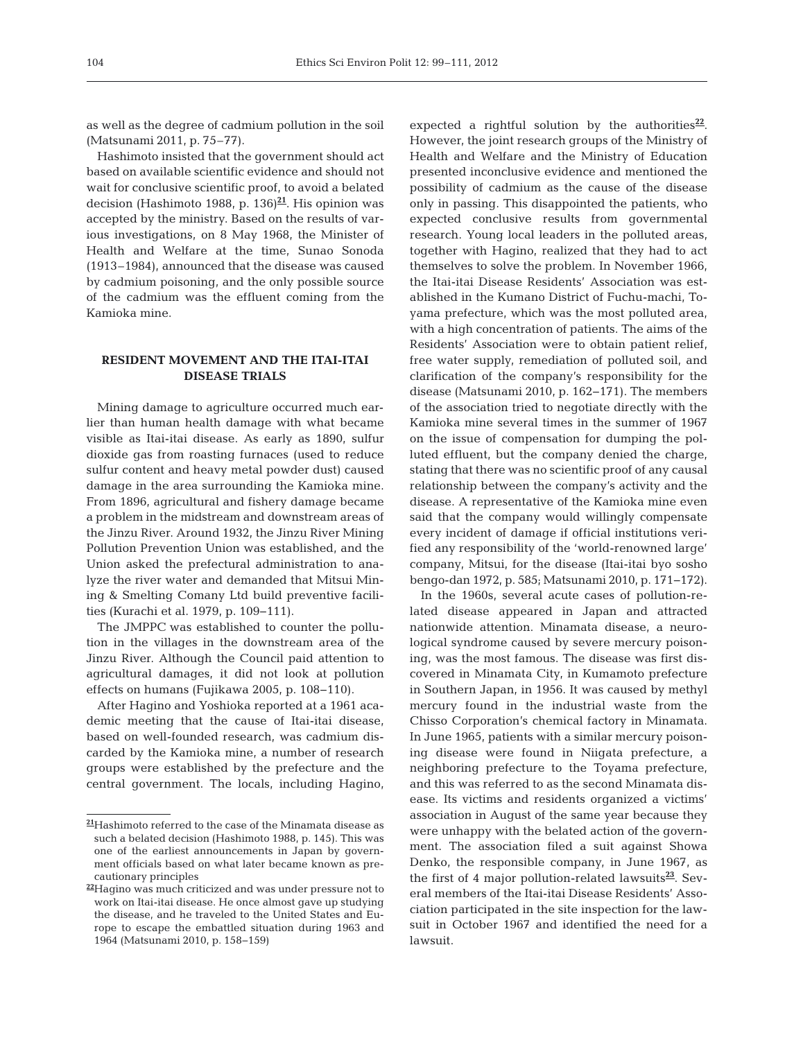as well as the degree of cadmium pollution in the soil (Matsunami 2011, p. 75–77).

Hashimoto insisted that the government should act based on available scientific evidence and should not wait for conclusive scientific proof, to avoid a belated decision (Hashimoto 1988, p. 136)**<sup>21</sup>**. His opinion was accepted by the ministry. Based on the results of various investigations, on 8 May 1968, the Minister of Health and Welfare at the time, Sunao Sonoda (1913– 1984), announced that the disease was caused by cadmium poisoning, and the only possible source of the cadmium was the effluent coming from the Kamioka mine.

## **RESIDENT MOVEMENT AND THE ITAI-ITAI DISEASE TRIALS**

Mining damage to agriculture occurred much earlier than human health damage with what became visible as Itai-itai disease. As early as 1890, sulfur dioxide gas from roasting furnaces (used to reduce sulfur content and heavy metal powder dust) caused damage in the area surrounding the Kamioka mine. From 1896, agricultural and fishery damage became a problem in the midstream and downstream areas of the Jinzu River. Around 1932, the Jinzu River Mining Pollution Prevention Union was established, and the Union asked the prefectural administration to analyze the river water and demanded that Mitsui Mining & Smelting Comany Ltd build preventive facilities (Kurachi et al. 1979, p. 109−111).

The JMPPC was established to counter the pollution in the villages in the downstream area of the Jinzu River. Although the Council paid attention to agricultural damages, it did not look at pollution effects on humans (Fujikawa 2005, p. 108−110).

After Hagino and Yoshioka reported at a 1961 academic meeting that the cause of Itai-itai disease, based on well-founded research, was cadmium discarded by the Kamioka mine, a number of research groups were established by the prefecture and the central government. The locals, including Hagino,

expected a rightful solution by the authorities $^{22}$ . However, the joint research groups of the Ministry of Health and Welfare and the Ministry of Education presented inconclusive evidence and mentioned the possibility of cadmium as the cause of the disease only in passing. This disappointed the patients, who expected conclusive results from governmental research. Young local leaders in the polluted areas, together with Hagino, realized that they had to act themselves to solve the problem. In November 1966, the Itai-itai Disease Residents' Association was established in the Kumano District of Fuchu-machi, To yama prefecture, which was the most polluted area, with a high concentration of patients. The aims of the Residents' Association were to obtain patient relief, free water supply, remediation of polluted soil, and clarification of the company's responsibility for the disease (Matsunami 2010, p. 162−171). The members of the association tried to negotiate directly with the Kamioka mine several times in the summer of 1967 on the issue of compensation for dumping the polluted effluent, but the company denied the charge, stating that there was no scientific proof of any causal relationship between the company's activity and the disease. A representative of the Kamioka mine even said that the company would willingly compensate every incident of damage if official institutions verified any responsibility of the 'world-renowned large' company, Mitsui, for the disease (Itai-itai byo sosho bengo-dan 1972, p. 585; Matsunami 2010, p. 171−172).

In the 1960s, several acute cases of pollution-related disease appeared in Japan and attracted nationwide attention. Minamata disease, a neurological syndrome caused by severe mercury poisoning, was the most famous. The disease was first discovered in Minamata City, in Kumamoto prefecture in Southern Japan, in 1956. It was caused by methyl mercury found in the industrial waste from the Chisso Corporation's chemical factory in Minamata. In June 1965, patients with a similar mercury poisoning disease were found in Niigata prefecture, a neighboring prefecture to the Toyama prefecture, and this was referred to as the second Minamata disease. Its victims and residents organized a victims' association in August of the same year because they were unhappy with the belated action of the government. The association filed a suit against Showa Denko, the responsible company, in June 1967, as the first of 4 major pollution-related lawsuits**<sup>23</sup>**. Several members of the Itai-itai Disease Residents' Association participated in the site inspection for the lawsuit in October 1967 and identified the need for a lawsuit.

**<sup>21</sup>**Hashimoto referred to the case of the Minamata disease as such a belated decision (Hashimoto 1988, p. 145). This was one of the earliest announcements in Japan by government officials based on what later became known as precautionary principles

**<sup>22</sup>**Hagino was much criticized and was under pressure not to work on Itai-itai disease. He once almost gave up studying the disease, and he traveled to the United States and Europe to escape the embattled situation during 1963 and 1964 (Matsunami 2010, p. 158−159)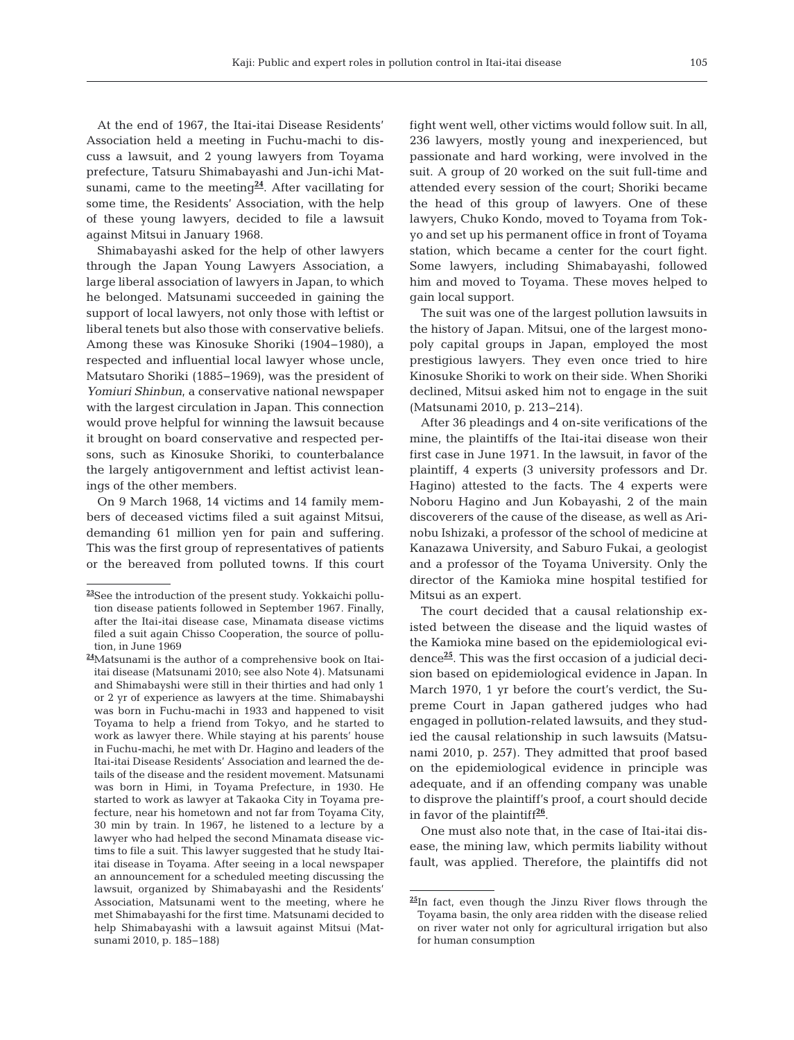At the end of 1967, the Itai-itai Disease Residents' Association held a meeting in Fuchu-machi to discuss a lawsuit, and 2 young lawyers from Toyama prefecture, Tatsuru Shimabayashi and Jun-ichi Matsunami, came to the meeting $\frac{24}{1}$ . After vacillating for some time, the Residents' Association, with the help of these young lawyers, decided to file a lawsuit against Mitsui in January 1968.

Shimabayashi asked for the help of other lawyers through the Japan Young Lawyers Association, a large liberal association of lawyers in Japan, to which he belonged. Matsunami succeeded in gaining the support of local lawyers, not only those with leftist or liberal tenets but also those with conservative beliefs. Among these was Kinosuke Shoriki (1904−1980), a respected and influential local lawyer whose uncle, Matsutaro Shoriki (1885−1969), was the president of *Yomiuri Shinbun*, a conservative national newspaper with the largest circulation in Japan. This connection would prove helpful for winning the lawsuit because it brought on board conservative and respected persons, such as Kinosuke Shoriki, to counterbalance the largely antigovernment and leftist activist leanings of the other members.

On 9 March 1968, 14 victims and 14 family members of deceased victims filed a suit against Mitsui, de manding 61 million yen for pain and suffering. This was the first group of representatives of patients or the bereaved from polluted towns. If this court fight went well, other victims would follow suit. In all, 236 lawyers, mostly young and inexperienced, but passionate and hard working, were involved in the suit. A group of 20 worked on the suit full-time and attended every session of the court; Shoriki became the head of this group of lawyers. One of these lawyers, Chuko Kondo, moved to Toyama from Tok yo and set up his permanent office in front of Toyama station, which became a center for the court fight. Some lawyers, including Shimabayashi, followed him and moved to Toyama. These moves helped to gain local support.

The suit was one of the largest pollution lawsuits in the history of Japan. Mitsui, one of the largest monopoly capital groups in Japan, employed the most prestigious lawyers. They even once tried to hire Kinosuke Shoriki to work on their side. When Shoriki declined, Mitsui asked him not to engage in the suit (Matsunami 2010, p. 213−214).

After 36 pleadings and 4 on-site verifications of the mine, the plaintiffs of the Itai-itai disease won their first case in June 1971. In the lawsuit, in favor of the plaintiff, 4 experts (3 university professors and Dr. Hagino) attested to the facts. The 4 experts were Noboru Hagino and Jun Kobayashi, 2 of the main discoverers of the cause of the disease, as well as Arinobu Ishizaki, a professor of the school of medicine at Kanazawa University, and Saburo Fukai, a geologist and a professor of the Toyama University. Only the director of the Kamioka mine hospital testified for Mitsui as an expert.

The court decided that a causal relationship existed between the disease and the liquid wastes of the Kamioka mine based on the epidemiological evidence**<sup>25</sup>**. This was the first occasion of a judicial decision based on epidemiological evidence in Japan. In March 1970, 1 yr before the court's verdict, the Supreme Court in Japan gathered judges who had engaged in pollution-related lawsuits, and they studied the causal relationship in such lawsuits (Matsunami 2010, p. 257). They admitted that proof based on the epidemiological evidence in principle was adequate, and if an offending company was unable to disprove the plaintiff's proof, a court should decide in favor of the plaintiff**<sup>26</sup>**.

One must also note that, in the case of Itai-itai disease, the mining law, which permits liability without fault, was applied. Therefore, the plaintiffs did not

**<sup>23</sup>**See the introduction of the present study. Yokkaichi pollution disease patients followed in September 1967. Finally, after the Itai-itai disease case, Minamata disease victims filed a suit again Chisso Cooperation, the source of pollution, in June 1969

**<sup>24</sup>**Matsunami is the author of a comprehensive book on Itaiitai disease (Matsunami 2010; see also Note 4). Matsunami and Shimabayshi were still in their thirties and had only 1 or 2 yr of experience as lawyers at the time. Shima bayshi was born in Fuchu-machi in 1933 and happened to visit Toyama to help a friend from Tokyo, and he started to work as lawyer there. While staying at his parents' house in Fuchu-machi, he met with Dr. Hagino and leaders of the Itai-itai Disease Residents' Association and learned the details of the disease and the resident movement. Matsunami was born in Himi, in Toyama Prefecture, in 1930. He started to work as lawyer at Takaoka City in Toyama prefecture, near his hometown and not far from Toyama City, 30 min by train. In 1967, he listened to a lecture by a lawyer who had helped the second Minamata disease victims to file a suit. This lawyer suggested that he study Itaiitai disease in Toyama. After seeing in a local newspaper an announcement for a scheduled meeting discussing the lawsuit, organized by Shimabayashi and the Residents' Association, Matsunami went to the meeting, where he met Shimabayashi for the first time. Matsunami decided to help Shimabayashi with a lawsuit against Mitsui (Matsunami 2010, p. 185−188)

**<sup>25</sup>**In fact, even though the Jinzu River flows through the Toyama basin, the only area ridden with the disease relied on river water not only for agricultural irrigation but also for human consumption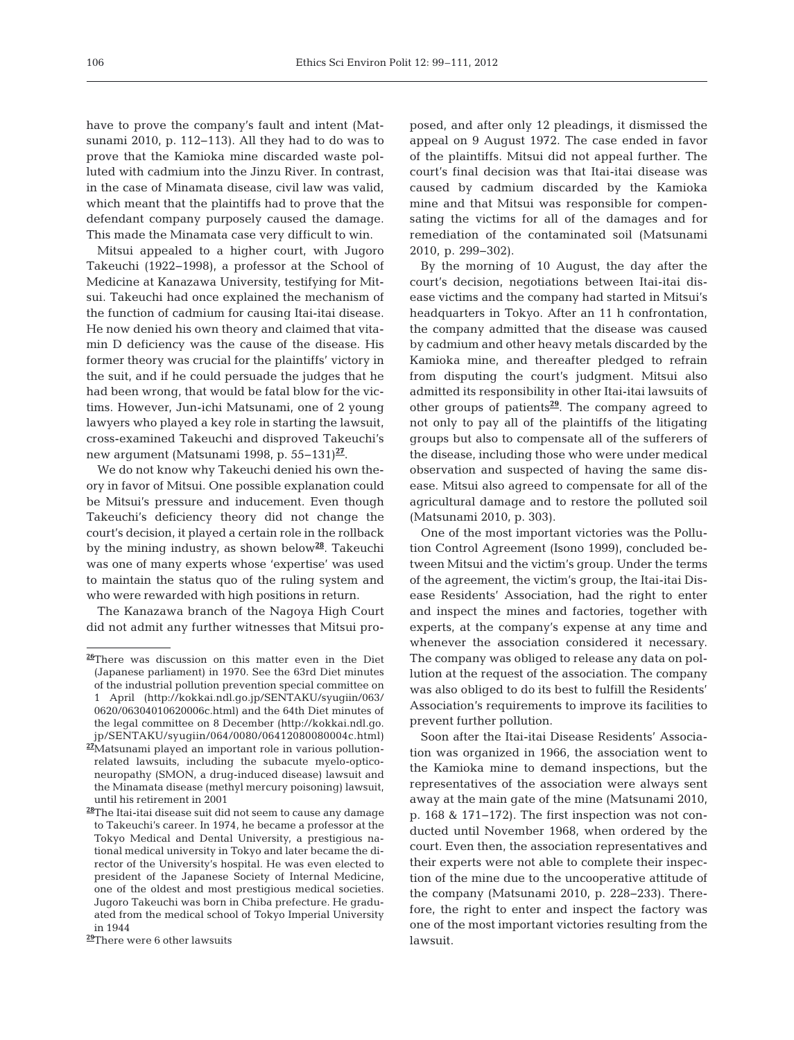have to prove the company's fault and intent (Matsunami 2010, p. 112−113). All they had to do was to prove that the Kamioka mine discarded waste polluted with cadmium into the Jinzu River. In contrast, in the case of Minamata disease, civil law was valid, which meant that the plaintiffs had to prove that the defendant company purposely caused the damage. This made the Minamata case very difficult to win.

Mitsui appealed to a higher court, with Jugoro Take uchi (1922−1998), a professor at the School of Medicine at Kanazawa University, testifying for Mitsui. Takeuchi had once explained the mechanism of the function of cadmium for causing Itai-itai disease. He now denied his own theory and claimed that vitamin D deficiency was the cause of the disease. His former theory was crucial for the plaintiffs' victory in the suit, and if he could persuade the judges that he had been wrong, that would be fatal blow for the victims. However, Jun-ichi Matsunami, one of 2 young lawyers who played a key role in starting the lawsuit, cross-examined Takeuchi and disproved Takeuchi's new argument (Matsunami 1998, p. 55−131)**<sup>27</sup>**.

We do not know why Takeuchi denied his own theory in favor of Mitsui. One possible explanation could be Mitsui's pressure and inducement. Even though Takeuchi's deficiency theory did not change the court's decision, it played a certain role in the rollback by the mining industry, as shown below**<sup>28</sup>**. Takeuchi was one of many experts whose 'expertise' was used to maintain the status quo of the ruling system and who were rewarded with high positions in return.

The Kanazawa branch of the Nagoya High Court did not admit any further witnesses that Mitsui pro-

**<sup>29</sup>**There were 6 other lawsuits

posed, and after only 12 pleadings, it dismissed the appeal on 9 August 1972. The case ended in favor of the plaintiffs. Mitsui did not appeal further. The court's final decision was that Itai-itai disease was caused by cadmium discarded by the Kamioka mine and that Mitsui was responsible for compensating the victims for all of the damages and for remediation of the contaminated soil (Matsunami 2010, p. 299−302).

By the morning of 10 August, the day after the court's decision, negotiations between Itai-itai disease victims and the company had started in Mitsui's headquarters in Tokyo. After an 11 h confrontation, the company admitted that the disease was caused by cadmium and other heavy metals discarded by the Kamioka mine, and thereafter pledged to refrain from disputing the court's judgment. Mitsui also admitted its responsibility in other Itai-itai lawsuits of other groups of patients**<sup>29</sup>**. The company agreed to not only to pay all of the plaintiffs of the litigating groups but also to compensate all of the sufferers of the disease, including those who were under medical observation and suspected of having the same disease. Mitsui also agreed to compensate for all of the agricultural damage and to restore the polluted soil (Matsunami 2010, p. 303).

One of the most important victories was the Pollution Control Agreement (Isono 1999), concluded be tween Mitsui and the victim's group. Under the terms of the agreement, the victim's group, the Itai-itai Disease Residents' Association, had the right to enter and inspect the mines and factories, together with experts, at the company's expense at any time and whenever the association considered it necessary. The company was obliged to release any data on pollution at the request of the association. The company was also obliged to do its best to fulfill the Residents' Association's requirements to improve its facilities to prevent further pollution.

Soon after the Itai-itai Disease Residents' Association was organized in 1966, the association went to the Kamioka mine to demand inspections, but the representatives of the association were always sent away at the main gate of the mine (Matsunami 2010, p. 168 & 171−172). The first inspection was not conducted until November 1968, when ordered by the court. Even then, the association representatives and their experts were not able to complete their inspection of the mine due to the uncooperative attitude of the company (Matsunami 2010, p. 228−233). Therefore, the right to enter and inspect the factory was one of the most important victories resulting from the lawsuit.

**<sup>26</sup>**There was discussion on this matter even in the Diet (Japanese parliament) in 1970. See the 63rd Diet minutes of the industrial pollution prevention special committee on 1 April (http://kokkai.ndl.go.jp/SENTAKU/syugiin/063/ 0620/ 06304010620006c.html) and the 64th Diet minutes of the legal committee on 8 December (http://kokkai.ndl.go. jp / SENTAKU/syugiin/064/0080/06412080080004c.html)

**<sup>27</sup>**Matsunami played an important role in various pollutionrelated lawsuits, including the subacute myelo-opticoneuropathy (SMON, a drug-induced disease) lawsuit and the Minamata disease (methyl mercury poisoning) lawsuit, until his retirement in 2001

**<sup>28</sup>**The Itai-itai disease suit did not seem to cause any damage to Takeuchi's career. In 1974, he became a professor at the Tokyo Medical and Dental University, a prestigious national medical university in Tokyo and later became the director of the University's hospital. He was even elected to president of the Japanese Society of Internal Medicine, one of the oldest and most prestigious medical societies. Jugoro Takeuchi was born in Chiba prefecture. He graduated from the medical school of Tokyo Imperial University in 1944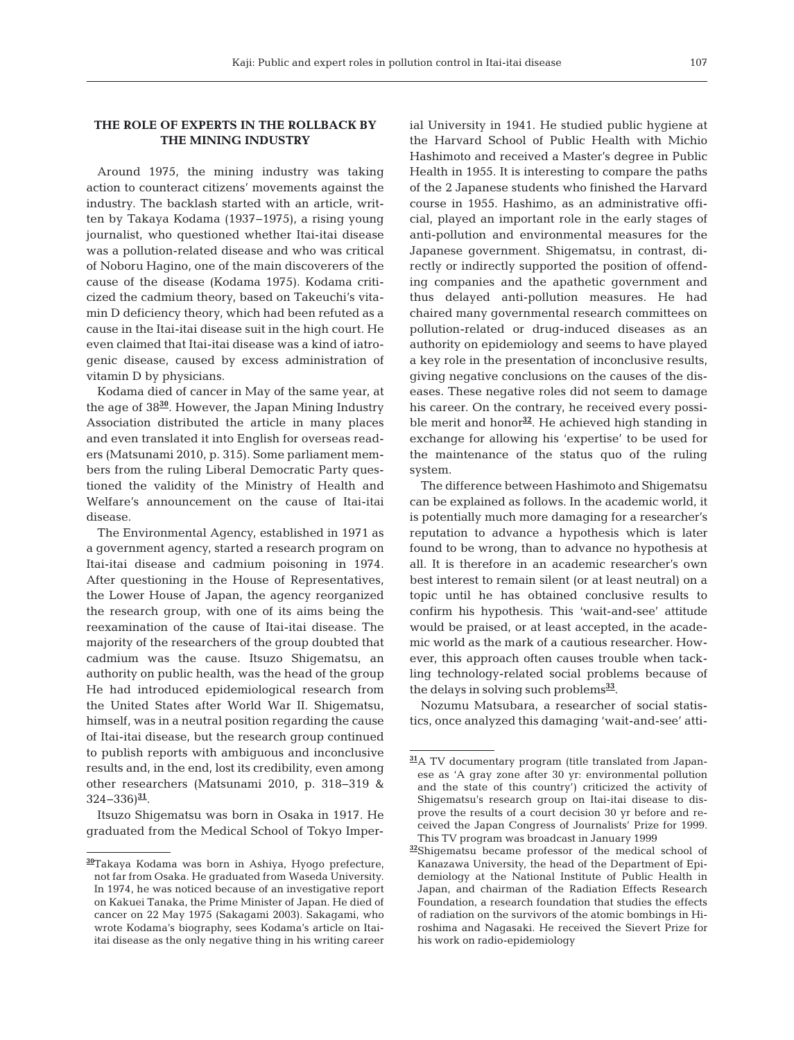## **THE ROLE OF EXPERTS IN THE ROLLBACK BY THE MINING INDUSTRY**

Around 1975, the mining industry was taking action to counteract citizens' movements against the industry. The backlash started with an article, written by Takaya Kodama (1937−1975), a rising young journalist, who questioned whether Itai-itai disease was a pollution-related disease and who was critical of Noboru Hagino, one of the main discoverers of the cause of the disease (Kodama 1975). Kodama criticized the cadmium theory, based on Takeuchi's vitamin D deficiency theory, which had been refuted as a cause in the Itai-itai disease suit in the high court. He even claimed that Itai-itai disease was a kind of iatrogenic disease, caused by excess administration of vitamin D by physicians.

Kodama died of cancer in May of the same year, at the age of 38**<sup>30</sup>**. However, the Japan Mining Industry Association distributed the article in many places and even translated it into English for overseas readers (Matsunami 2010, p. 315). Some parliament members from the ruling Liberal Democratic Party questioned the validity of the Ministry of Health and Welfare's announcement on the cause of Itai-itai disease.

The Environmental Agency, established in 1971 as a government agency, started a research program on Itai-itai disease and cadmium poisoning in 1974. After questioning in the House of Representatives, the Lower House of Japan, the agency reorganized the research group, with one of its aims being the reexamination of the cause of Itai-itai disease. The majority of the researchers of the group doubted that cadmium was the cause. Itsuzo Shigematsu, an authority on public health, was the head of the group He had introduced epidemiological research from the United States after World War II. Shigematsu, himself, was in a neutral position regarding the cause of Itai-itai disease, but the research group continued to publish reports with ambiguous and inconclusive results and, in the end, lost its credibility, even among other researchers (Matsunami 2010, p. 318− 319 & 324−336)**<sup>31</sup>**.

Itsuzo Shigematsu was born in Osaka in 1917. He graduated from the Medical School of Tokyo Imperial University in 1941. He studied public hygiene at the Harvard School of Public Health with Michio Hashimoto and received a Master's degree in Public Health in 1955. It is interesting to compare the paths of the 2 Japanese students who finished the Harvard course in 1955. Hashimo, as an administrative official, played an important role in the early stages of anti-pollution and environmental measures for the Japanese government. Shigematsu, in contrast, directly or indirectly supported the position of offending companies and the apathetic government and thus delayed anti-pollution measures. He had chaired many governmental research committees on pollution-related or drug-induced diseases as an authority on epidemiology and seems to have played a key role in the presentation of inconclusive results, giving negative conclusions on the causes of the diseases. These negative roles did not seem to damage his career. On the contrary, he received every possible merit and honor**<sup>32</sup>**. He achieved high standing in exchange for allowing his 'expertise' to be used for the maintenance of the status quo of the ruling system.

The difference between Hashimoto and Shigematsu can be explained as follows. In the academic world, it is potentially much more damaging for a researcher's reputation to advance a hypothesis which is later found to be wrong, than to advance no hypothesis at all. It is therefore in an academic researcher's own best interest to remain silent (or at least neutral) on a topic until he has obtained conclusive results to confirm his hypothesis. This 'wait-and-see' attitude would be praised, or at least accepted, in the academic world as the mark of a cautious researcher. However, this approach often causes trouble when tackling technology -related social problems because of the delays in solving such problems**<sup>33</sup>**.

Nozumu Matsubara, a researcher of social statistics, once analyzed this damaging 'wait-and-see' atti-

**<sup>30</sup>**Takaya Kodama was born in Ashiya, Hyogo prefecture, not far from Osaka. He graduated from Waseda University. In 1974, he was noticed because of an investigative report on Kakuei Tanaka, the Prime Minister of Japan. He died of cancer on 22 May 1975 (Sakagami 2003). Sakagami, who wrote Kodama's biography, sees Kodama's article on Itaiitai disease as the only negative thing in his writing career

**<sup>31</sup>**A TV documentary program (title translated from Japanese as 'A gray zone after 30 yr: environmental pollution and the state of this country') criticized the activity of Shigematsu's research group on Itai-itai disease to disprove the results of a court decision 30 yr before and received the Japan Congress of Journalists' Prize for 1999. This TV program was broadcast in January 1999

**<sup>32</sup>**Shigematsu became professor of the medical school of Kanazawa University, the head of the Department of Epidemiology at the National Institute of Public Health in Japan, and chairman of the Radiation Effects Research Foundation, a research foundation that studies the effects of radiation on the survivors of the atomic bombings in Hiroshima and Nagasaki. He received the Sievert Prize for his work on radio-epidemiology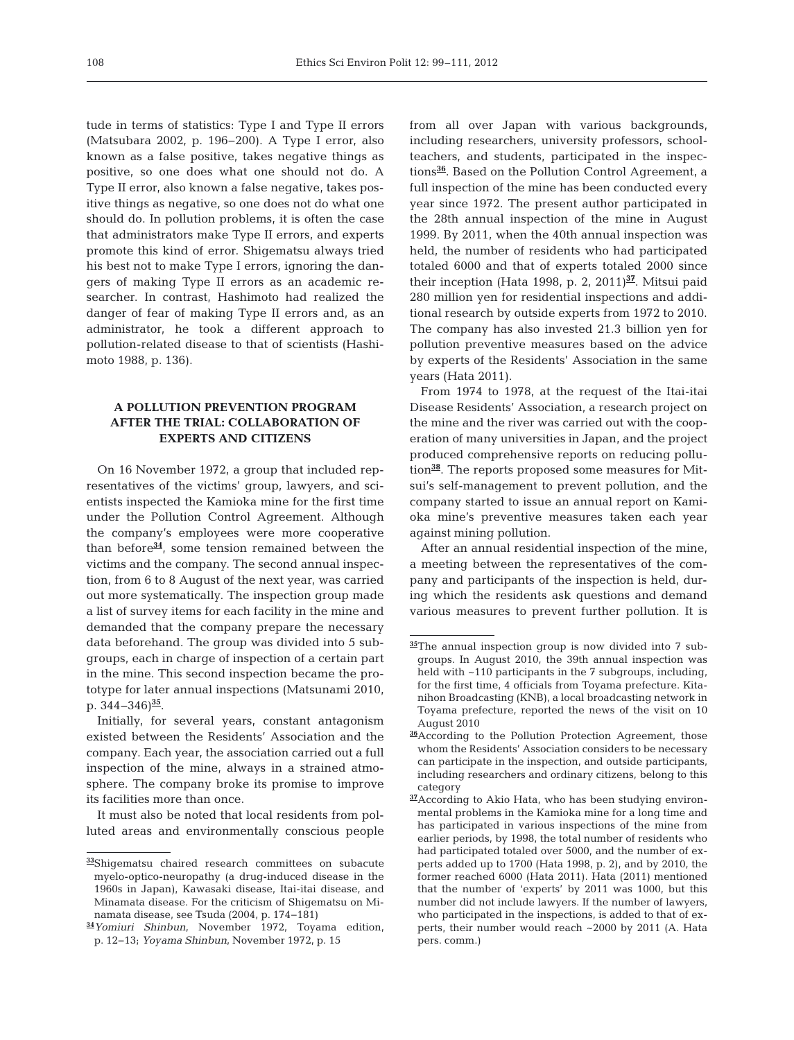tude in terms of statistics: Type I and Type II errors (Matsubara 2002, p. 196−200). A Type I error, also known as a false positive, takes negative things as positive, so one does what one should not do. A Type II error, also known a false negative, takes positive things as negative, so one does not do what one should do. In pollution problems, it is often the case that administrators make Type II errors, and experts promote this kind of error. Shigematsu always tried his best not to make Type I errors, ignoring the dangers of making Type II errors as an academic re searcher. In contrast, Hashimoto had realized the danger of fear of making Type II errors and, as an administrator, he took a different approach to pollution-related disease to that of scientists (Hashimoto 1988, p. 136).

## **A POLLUTION PREVENTION PROGRAM AFTER THE TRIAL: COLLABORATION OF EXPERTS AND CITIZENS**

On 16 November 1972, a group that included representatives of the victims' group, lawyers, and scientists inspected the Kamioka mine for the first time under the Pollution Control Agreement. Although the company's employees were more cooperative than before**<sup>34</sup>**, some tension remained between the victims and the company. The second annual inspection, from 6 to 8 August of the next year, was carried out more systematically. The inspection group made a list of survey items for each facility in the mine and demanded that the company prepare the necessary data beforehand. The group was divided into 5 subgroups, each in charge of inspection of a certain part in the mine. This second inspection became the prototype for later annual inspections (Matsunami 2010, p. 344−346)**<sup>35</sup>**.

Initially, for several years, constant antagonism existed between the Residents' Association and the company. Each year, the association carried out a full inspection of the mine, always in a strained atmosphere. The company broke its promise to improve its facilities more than once.

It must also be noted that local residents from polluted areas and environmentally conscious people from all over Japan with various backgrounds, including researchers, university professors, schoolteachers, and students, participated in the inspections**<sup>36</sup>**. Based on the Pollution Control Agreement, a full inspection of the mine has been conducted every year since 1972. The present author participated in the 28th annual inspection of the mine in August 1999. By 2011, when the 40th annual inspection was held, the number of residents who had participated totaled 6000 and that of experts totaled 2000 since their inception (Hata 1998, p. 2, 2011)**<sup>37</sup>**. Mitsui paid 280 million yen for residential inspections and additional research by outside experts from 1972 to 2010. The company has also invested 21.3 billion yen for pollution preventive measures based on the advice by experts of the Residents' Association in the same years (Hata 2011).

From 1974 to 1978, at the request of the Itai-itai Disease Residents' Association, a research project on the mine and the river was carried out with the cooperation of many universities in Japan, and the project produced comprehensive reports on reducing pollution**<sup>38</sup>**. The reports proposed some measures for Mitsui's self-management to prevent pollution, and the company started to issue an annual report on Kami oka mine's preventive measures taken each year against mining pollution.

After an annual residential inspection of the mine, a meeting between the representatives of the company and participants of the inspection is held, during which the residents ask questions and demand various measures to prevent further pollution. It is

**<sup>33</sup>**Shigematsu chaired research committees on subacute myelo-optico-neuropathy (a drug-induced disease in the 1960s in Japan), Kawasaki disease, Itai-itai disease, and Minamata disease. For the criticism of Shigematsu on Minamata disease, see Tsuda (2004, p. 174−181)

**<sup>34</sup>***Yomiuri Shinbun*, November 1972, Toyama edition, p. 12−13; *Yoyama Shinbun*, November 1972, p. 15

**<sup>35</sup>**The annual inspection group is now divided into 7 subgroups. In August 2010, the 39th annual inspection was held with  $\sim$ 110 participants in the 7 subgroups, including, for the first time, 4 officials from Toyama prefecture. Kitanihon Broadcasting (KNB), a local broadcasting network in Toyama prefecture, reported the news of the visit on 10 August 2010

**<sup>36</sup>**According to the Pollution Protection Agreement, those whom the Residents' Association considers to be necessary can participate in the inspection, and outside participants, including researchers and ordinary citizens, belong to this category

**<sup>37</sup>**According to Akio Hata, who has been studying environmental problems in the Kamioka mine for a long time and has participated in various inspections of the mine from earlier periods, by 1998, the total number of residents who had participated totaled over 5000, and the number of experts added up to 1700 (Hata 1998, p. 2), and by 2010, the former reached 6000 (Hata 2011). Hata (2011) mentioned that the number of 'experts' by 2011 was 1000, but this number did not include lawyers. If the number of lawyers, who participated in the inspections, is added to that of experts, their number would reach ~2000 by 2011 (A. Hata pers. comm.)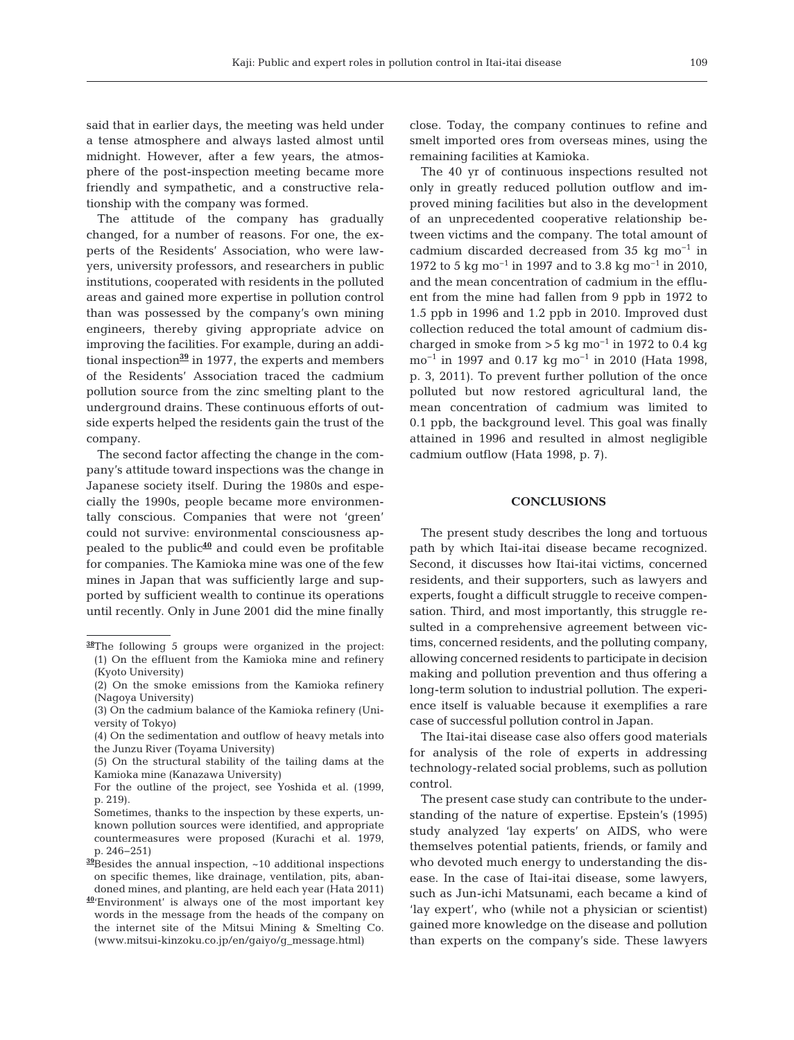said that in earlier days, the meeting was held under a tense atmosphere and always lasted almost until midnight. However, after a few years, the atmosphere of the post-inspection meeting became more friendly and sympathetic, and a constructive relationship with the company was formed.

The attitude of the company has gradually changed, for a number of reasons. For one, the experts of the Residents' Association, who were lawyers, university professors, and researchers in public institutions, cooperated with residents in the polluted areas and gained more expertise in pollution control than was possessed by the company's own mining engineers, thereby giving appropriate advice on improving the facilities. For example, during an additional inspection**<sup>39</sup>** in 1977, the experts and members of the Residents' Association traced the cadmium pollution source from the zinc smelting plant to the underground drains. These continuous efforts of outside experts helped the residents gain the trust of the company.

The second factor affecting the change in the company's attitude toward inspections was the change in Japanese society itself. During the 1980s and especially the 1990s, people became more environmentally conscious. Companies that were not 'green' could not survive: environmental consciousness appealed to the public**<sup>40</sup>** and could even be profitable for companies. The Kamioka mine was one of the few mines in Japan that was sufficiently large and supported by sufficient wealth to continue its operations until recently. Only in June 2001 did the mine finally close. Today, the company continues to refine and smelt imported ores from overseas mines, using the remaining facilities at Kamioka.

The 40 yr of continuous inspections resulted not only in greatly reduced pollution outflow and im proved mining facilities but also in the development of an unprecedented cooperative relationship be tween victims and the company. The total amount of cadmium discarded decreased from 35 kg mo−1 in 1972 to 5 kg mo−1 in 1997 and to 3.8 kg mo−1 in 2010, and the mean concentration of cadmium in the effluent from the mine had fallen from 9 ppb in 1972 to 1.5 ppb in 1996 and 1.2 ppb in 2010. Improved dust collection reduced the total amount of cadmium discharged in smoke from >5 kg mo<sup>-1</sup> in 1972 to 0.4 kg mo−1 in 1997 and 0.17 kg mo−1 in 2010 (Hata 1998, p. 3, 2011). To prevent further pollution of the once polluted but now restored agricultural land, the mean concentration of cadmium was limited to 0.1 ppb, the background level. This goal was finally attained in 1996 and resulted in almost negligible cadmium outflow (Hata 1998, p. 7).

#### **CONCLUSIONS**

The present study describes the long and tortuous path by which Itai-itai disease became recognized. Second, it discusses how Itai-itai victims, concerned residents, and their supporters, such as lawyers and experts, fought a difficult struggle to receive compensation. Third, and most importantly, this struggle resulted in a comprehensive agreement between victims, concerned residents, and the polluting company, allowing concerned residents to participate in decision making and pollution prevention and thus offering a long-term solution to industrial pollution. The experience itself is valuable because it exemplifies a rare case of successful pollution control in Japan.

The Itai-itai disease case also offers good materials for analysis of the role of experts in addressing technology-related social problems, such as pollution control.

The present case study can contribute to the understanding of the nature of expertise. Epstein's (1995) study analyzed 'lay experts' on AIDS, who were themselves potential patients, friends, or family and who devoted much energy to understanding the disease. In the case of Itai-itai disease, some lawyers, such as Jun-ichi Matsunami, each became a kind of 'lay expert', who (while not a physician or scientist) gained more knowledge on the disease and pollution than experts on the company's side. These lawyers

**<sup>38</sup>**The following 5 groups were organized in the project: (1) On the effluent from the Kamioka mine and refinery (Kyoto University)

<sup>(2)</sup> On the smoke emissions from the Kamioka refinery (Nagoya University)

<sup>(3)</sup> On the cadmium balance of the Kamioka refinery (University of Tokyo)

<sup>(4)</sup> On the sedimentation and outflow of heavy metals into the Junzu River (Toyama University)

<sup>(5)</sup> On the structural stability of the tailing dams at the Kamioka mine (Kanazawa University)

For the outline of the project, see Yoshida et al. (1999, p. 219).

Sometimes, thanks to the inspection by these experts, unknown pollution sources were identified, and appropriate countermeasures were proposed (Kurachi et al. 1979, p. 246−251)

**<sup>39</sup>**Besides the annual inspection, ~10 additional inspections on specific themes, like drainage, ventilation, pits, abandoned mines, and planting, are held each year (Hata 2011)

**<sup>40</sup>**'Environment' is always one of the most important key words in the message from the heads of the company on the internet site of the Mitsui Mining & Smelting Co. (www. mitsui-kinzoku.co.jp/en/gaiyo/g\_message.html)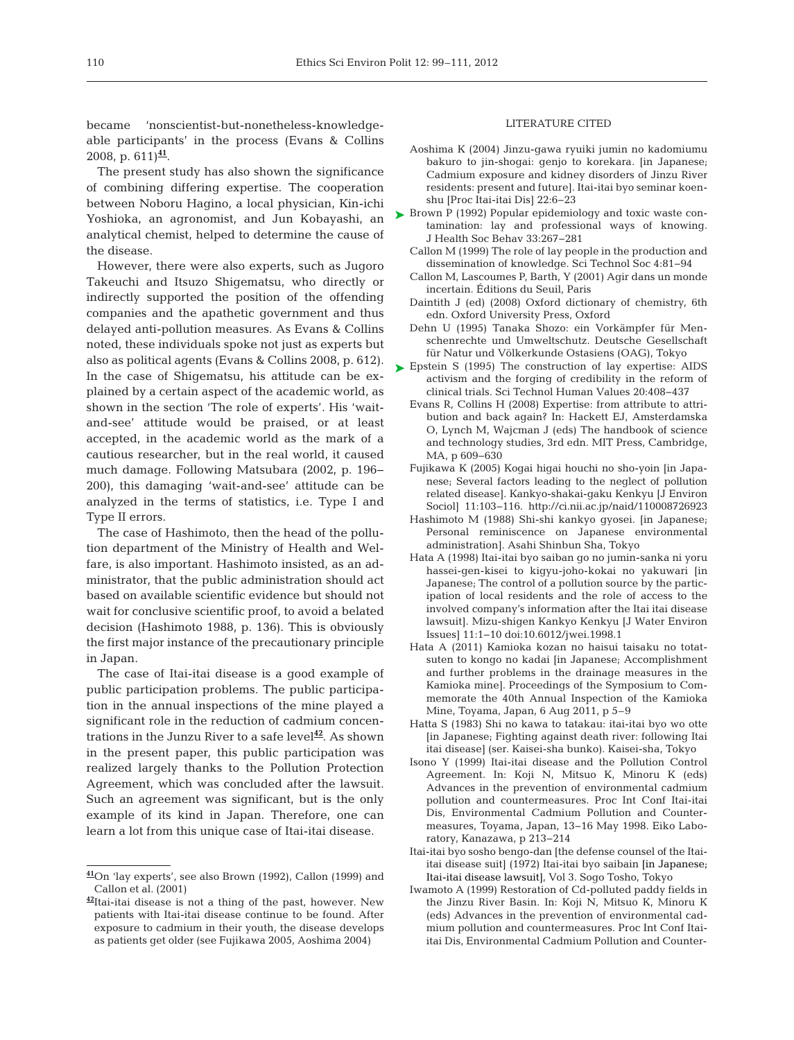be came 'nonscientist-but-nonetheless-knowledgeable participants' in the process (Evans  $&$  Collins 2008, p. 611)**<sup>41</sup>**.

The present study has also shown the significance of combining differing expertise. The cooperation between Noboru Hagino, a local physician, Kin-ichi Yoshioka, an agronomist, and Jun Kobayashi, an analytical chemist, helped to determine the cause of the disease.

However, there were also experts, such as Jugoro Takeuchi and Itsuzo Shigematsu, who directly or indirectly supported the position of the offending companies and the apathetic government and thus delayed anti-pollution measures. As Evans & Collins noted, these individuals spoke not just as experts but also as political agents (Evans & Collins 2008, p. 612). In the case of Shigematsu, his attitude can be explained by a certain aspect of the academic world, as shown in the section 'The role of experts'. His 'waitand-see' attitude would be praised, or at least accepted, in the academic world as the mark of a cautious researcher, but in the real world, it caused much damage. Following Matsubara (2002, p. 196− 200), this damaging 'wait-and-see' attitude can be analyzed in the terms of statistics, i.e. Type I and Type II errors.

The case of Hashimoto, then the head of the pollution department of the Ministry of Health and Welfare, is also important. Hashimoto insisted, as an ad ministrator, that the public administration should act based on available scientific evidence but should not wait for conclusive scientific proof, to avoid a belated decision (Hashimoto 1988, p. 136). This is obviously the first major instance of the precautionary principle in Japan.

The case of Itai-itai disease is a good example of public participation problems. The public participation in the annual inspections of the mine played a significant role in the reduction of cadmium concentrations in the Junzu River to a safe level**<sup>42</sup>**. As shown in the present paper, this public participation was realized largely thanks to the Pollution Protection Agreement, which was concluded after the lawsuit. Such an agreement was significant, but is the only example of its kind in Japan. Therefore, one can learn a lot from this unique case of Itai-itai disease.

#### LITERATURE CITED

- Aoshima K (2004) Jinzu-gawa ryuiki jumin no kadomiumu bakuro to jin-shogai: genjo to korekara. [in Japanese; Cadmium exposure and kidney disorders of Jinzu River residents: present and future]. Itai-itai byo seminar koenshu [Proc Itai-itai Dis] 22:6-23
- ► Brown P (1992) Popular epidemiology and toxic waste contamination: lay and professional ways of knowing. J Health Soc Behav 33:267-281
	- Callon M (1999) The role of lay people in the production and dissemination of knowledge. Sci Technol Soc 4:81-94
	- Callon M, Lascoumes P, Barth, Y (2001) Agir dans un monde incertain. Éditions du Seuil, Paris
	- Daintith J (ed) (2008) Oxford dictionary of chemistry, 6th edn. Oxford University Press, Oxford
	- Dehn U (1995) Tanaka Shozo: ein Vorkämpfer für Menschenrechte und Umweltschutz. Deutsche Gesellschaft für Natur und Völkerkunde Ostasiens (OAG), Tokyo
- ► Epstein S (1995) The construction of lay expertise: AIDS activism and the forging of credibility in the reform of clinical trials. Sci Technol Human Values 20: 408−437
	- Evans R, Collins H (2008) Expertise: from attribute to attribution and back again? In: Hackett EJ, Amsterdamska O, Lynch M, Wajcman J (eds) The handbook of science and technology studies, 3rd edn. MIT Press, Cambridge, MA, p 609−630
	- Fujikawa K (2005) Kogai higai houchi no sho-yoin [in Japa nese; Several factors leading to the neglect of pollution related disease]. Kankyo- shakai-gaku Kenkyu [J Environ Sociol] 11: 103−116. http://ci.nii.ac.jp/naid/110008726923
	- Hashimoto M (1988) Shi-shi kankyo gyosei. [in Japanese; Personal reminiscence on Japanese environmental administration]. Asahi Shinbun Sha, Tokyo
	- Hata A (1998) Itai-itai byo saiban go no jumin-sanka ni yoru hassei-gen-kisei to kigyu-joho-kokai no yakuwari [in Japanese; The control of a pollution source by the participation of local residents and the role of access to the involved company's information after the Itai itai disease lawsuit]. Mizu-shigen Kankyo Kenkyu [J Water Environ Issues] 11: 1−10 doi:10.6012/jwei.1998.1
	- Hata A (2011) Kamioka kozan no haisui taisaku no totatsuten to kongo no kadai [in Japanese; Accomplishment and further problems in the drainage measures in the Kamioka mine]. Proceedings of the Symposium to Commemorate the 40th Annual Inspection of the Kamioka Mine, Toyama, Japan, 6 Aug 2011, p 5–9
	- Hatta S (1983) Shi no kawa to tatakau: itai-itai byo wo otte [in Japanese; Fighting against death river: following Itai itai disease] (ser. Kaisei-sha bunko). Kaisei-sha, Tokyo
	- Isono Y (1999) Itai-itai disease and the Pollution Control Agreement. In:Koji N, Mitsuo K, Minoru K (eds) Advances in the prevention of environmental cadmium pollution and countermeasures. Proc Int Conf Itai-itai Dis, Environmental Cadmium Pollution and Countermeasures, Toyama, Japan, 13−16 May 1998. Eiko Laboratory, Kanazawa, p 213−214
	- Itai-itai byo sosho bengo-dan [the defense counsel of the Itaiitai disease suit] (1972) Itai-itai byo saibain [in Japanese; Itai-itai disease lawsuit], Vol 3. Sogo Tosho, Tokyo
	- Iwamoto A (1999) Restoration of Cd-polluted paddy fields in the Jinzu River Basin. In: Koji N, Mitsuo K, Minoru K (eds) Advances in the prevention of environmental cadmium pollution and countermeasures. Proc Int Conf Itaiitai Dis, Environmental Cadmium Pollution and Counter-

**<sup>41</sup>**On 'lay experts', see also Brown (1992), Callon (1999) and Callon et al. (2001)

**<sup>42</sup>**Itai-itai disease is not a thing of the past, however. New patients with Itai-itai disease continue to be found. After exposure to cadmium in their youth, the disease develops as patients get older (see Fujikawa 2005, Aoshima 2004)